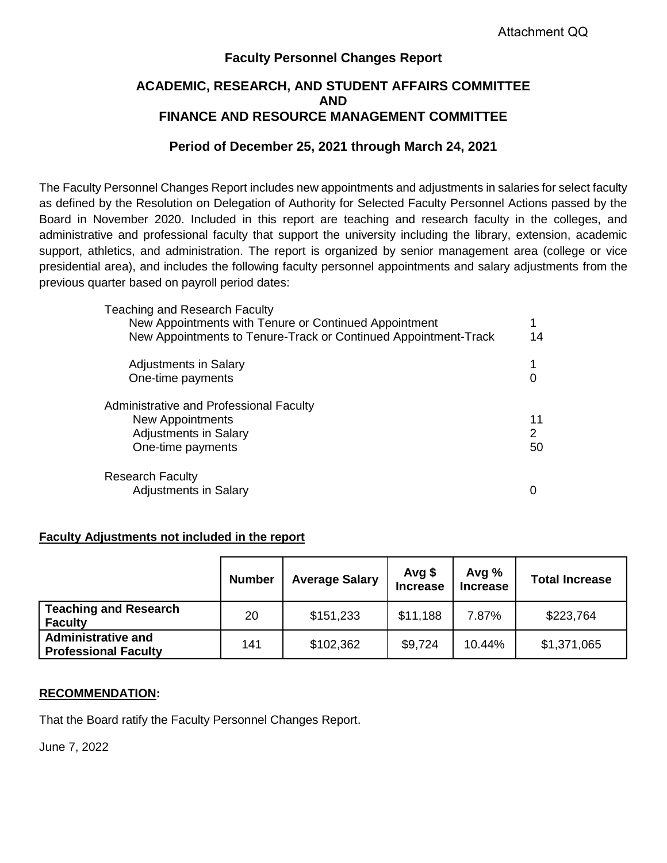### **Faculty Personnel Changes Report**

#### **ACADEMIC, RESEARCH, AND STUDENT AFFAIRS COMMITTEE AND FINANCE AND RESOURCE MANAGEMENT COMMITTEE**

#### **Period of December 25, 2021 through March 24, 2021**

The Faculty Personnel Changes Report includes new appointments and adjustments in salaries for select faculty as defined by the Resolution on Delegation of Authority for Selected Faculty Personnel Actions passed by the Board in November 2020. Included in this report are teaching and research faculty in the colleges, and administrative and professional faculty that support the university including the library, extension, academic support, athletics, and administration. The report is organized by senior management area (college or vice presidential area), and includes the following faculty personnel appointments and salary adjustments from the previous quarter based on payroll period dates:

| Teaching and Research Faculty<br>New Appointments with Tenure or Continued Appointment<br>New Appointments to Tenure-Track or Continued Appointment-Track | 14            |
|-----------------------------------------------------------------------------------------------------------------------------------------------------------|---------------|
| <b>Adjustments in Salary</b><br>One-time payments                                                                                                         |               |
| Administrative and Professional Faculty<br>New Appointments<br><b>Adjustments in Salary</b><br>One-time payments                                          | 11<br>2<br>50 |
| Research Faculty<br><b>Adjustments in Salary</b>                                                                                                          |               |

#### **Faculty Adjustments not included in the report**

|                                                          | <b>Number</b> | <b>Average Salary</b> | Avg $$$<br><b>Increase</b> | Avg $%$<br><b>Increase</b> | <b>Total Increase</b> |
|----------------------------------------------------------|---------------|-----------------------|----------------------------|----------------------------|-----------------------|
| <b>Teaching and Research</b><br><b>Faculty</b>           | 20            | \$151,233             | \$11,188                   | 7.87%                      | \$223,764             |
| <b>Administrative and</b><br><b>Professional Faculty</b> | 141           | \$102,362             | \$9,724                    | 10.44%                     | \$1,371,065           |

#### **RECOMMENDATION:**

That the Board ratify the Faculty Personnel Changes Report.

June 7, 2022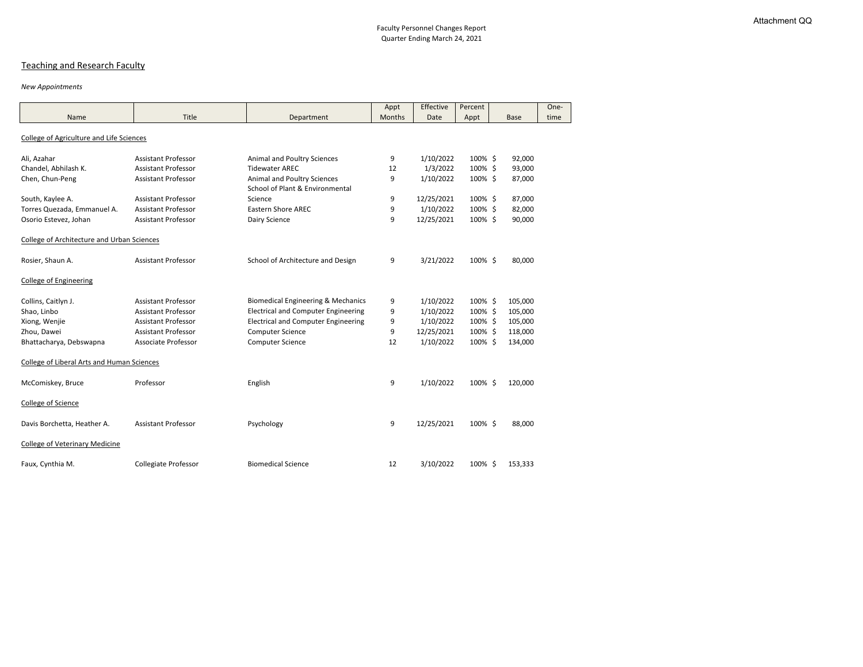## Teaching and Research Faculty

#### *New Appointments*

|                                                   |                             |                                                                       | Appt   | Effective  | Percent    |             | One- |
|---------------------------------------------------|-----------------------------|-----------------------------------------------------------------------|--------|------------|------------|-------------|------|
| Name                                              | Title                       | Department                                                            | Months | Date       | Appt       | <b>Base</b> | time |
| <b>College of Agriculture and Life Sciences</b>   |                             |                                                                       |        |            |            |             |      |
| Ali, Azahar                                       | <b>Assistant Professor</b>  | Animal and Poultry Sciences                                           | 9      | 1/10/2022  | 100% \$    | 92,000      |      |
| Chandel, Abhilash K.                              | <b>Assistant Professor</b>  | <b>Tidewater AREC</b>                                                 | 12     | 1/3/2022   | 100%\$     | 93,000      |      |
| Chen, Chun-Peng                                   | <b>Assistant Professor</b>  | <b>Animal and Poultry Sciences</b><br>School of Plant & Environmental | 9      | 1/10/2022  | 100% \$    | 87,000      |      |
| South, Kaylee A.                                  | <b>Assistant Professor</b>  | Science                                                               | 9      | 12/25/2021 | 100% \$    | 87,000      |      |
| Torres Quezada, Emmanuel A.                       | <b>Assistant Professor</b>  | <b>Eastern Shore AREC</b>                                             | 9      | 1/10/2022  | 100%\$     | 82,000      |      |
| Osorio Estevez, Johan                             | <b>Assistant Professor</b>  | Dairy Science                                                         | 9      | 12/25/2021 | 100%\$     | 90,000      |      |
| <b>College of Architecture and Urban Sciences</b> |                             |                                                                       |        |            |            |             |      |
| Rosier, Shaun A.                                  | <b>Assistant Professor</b>  | School of Architecture and Design                                     | 9      | 3/21/2022  | 100% \$    | 80,000      |      |
| <b>College of Engineering</b>                     |                             |                                                                       |        |            |            |             |      |
| Collins, Caitlyn J.                               | <b>Assistant Professor</b>  | <b>Biomedical Engineering &amp; Mechanics</b>                         | 9      | 1/10/2022  | 100%\$     | 105,000     |      |
| Shao, Linbo                                       | <b>Assistant Professor</b>  | <b>Electrical and Computer Engineering</b>                            | 9      | 1/10/2022  | 100% \$    | 105,000     |      |
| Xiong, Wenjie                                     | <b>Assistant Professor</b>  | <b>Electrical and Computer Engineering</b>                            | 9      | 1/10/2022  | 100%\$     | 105,000     |      |
| Zhou, Dawei                                       | <b>Assistant Professor</b>  | <b>Computer Science</b>                                               | 9      | 12/25/2021 | 100% \$    | 118,000     |      |
| Bhattacharya, Debswapna                           | <b>Associate Professor</b>  | <b>Computer Science</b>                                               | 12     | 1/10/2022  | 100% \$    | 134,000     |      |
| <b>College of Liberal Arts and Human Sciences</b> |                             |                                                                       |        |            |            |             |      |
| McComiskey, Bruce                                 | Professor                   | English                                                               | 9      | 1/10/2022  | 100% \$    | 120,000     |      |
| College of Science                                |                             |                                                                       |        |            |            |             |      |
| Davis Borchetta, Heather A.                       | <b>Assistant Professor</b>  | Psychology                                                            | 9      | 12/25/2021 | 100%\$     | 88,000      |      |
| <b>College of Veterinary Medicine</b>             |                             |                                                                       |        |            |            |             |      |
| Faux, Cynthia M.                                  | <b>Collegiate Professor</b> | <b>Biomedical Science</b>                                             | 12     | 3/10/2022  | $100\%$ \$ | 153,333     |      |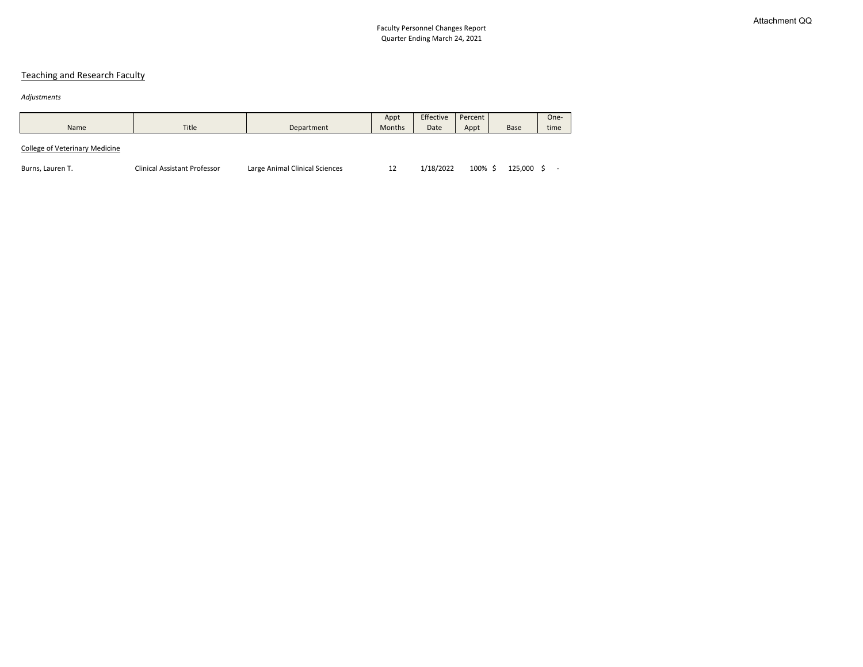# Teaching and Research Faculty

#### *Adjustments*

| Name                                  | <b>Title</b>                        | Department                     | Appt<br>Months | Effective<br>Date | Percent  <br>Appt | <b>Base</b> | One-<br>time |  |
|---------------------------------------|-------------------------------------|--------------------------------|----------------|-------------------|-------------------|-------------|--------------|--|
| <b>College of Veterinary Medicine</b> |                                     |                                |                |                   |                   |             |              |  |
| Burns, Lauren T.                      | <b>Clinical Assistant Professor</b> | Large Animal Clinical Sciences | 12             | 1/18/2022         | 100% \$           | 125,000     |              |  |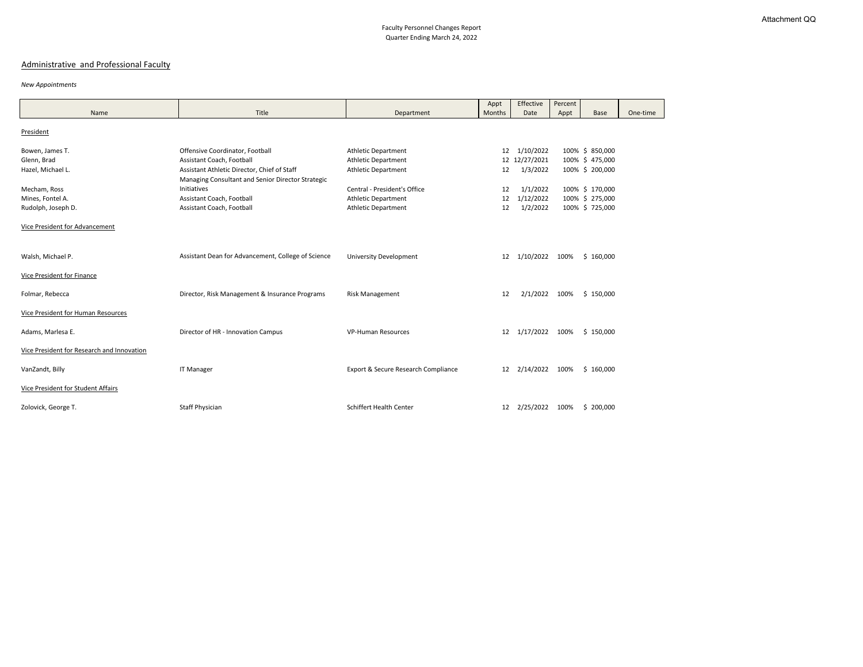# Administrative and Professional Faculty

#### *New Appointments*

|                                            |                                                                                                  |                                     | Appt   | Effective      | Percent |                 |          |
|--------------------------------------------|--------------------------------------------------------------------------------------------------|-------------------------------------|--------|----------------|---------|-----------------|----------|
| Name                                       | Title                                                                                            | Department                          | Months | Date           | Appt    | <b>Base</b>     | One-time |
| President                                  |                                                                                                  |                                     |        |                |         |                 |          |
| Bowen, James T.                            | Offensive Coordinator, Football                                                                  | <b>Athletic Department</b>          | 12     | 1/10/2022      |         | 100% \$ 850,000 |          |
| Glenn, Brad                                | Assistant Coach, Football                                                                        | <b>Athletic Department</b>          |        | 12 12/27/2021  |         | 100% \$475,000  |          |
| Hazel, Michael L.                          | Assistant Athletic Director, Chief of Staff<br>Managing Consultant and Senior Director Strategic | <b>Athletic Department</b>          | 12     | 1/3/2022       |         | 100% \$ 200,000 |          |
| Mecham, Ross                               | Initiatives                                                                                      | Central - President's Office        | 12     | 1/1/2022       |         | 100% \$ 170,000 |          |
| Mines, Fontel A.                           | Assistant Coach, Football                                                                        | <b>Athletic Department</b>          | 12     | 1/12/2022      |         | 100% \$ 275,000 |          |
| Rudolph, Joseph D.                         | Assistant Coach, Football                                                                        | <b>Athletic Department</b>          | 12     | 1/2/2022       |         | 100% \$ 725,000 |          |
| <b>Vice President for Advancement</b>      |                                                                                                  |                                     |        |                |         |                 |          |
| Walsh, Michael P.                          | Assistant Dean for Advancement, College of Science                                               | <b>University Development</b>       | 12     | 1/10/2022 100% |         | \$160,000       |          |
| <b>Vice President for Finance</b>          |                                                                                                  |                                     |        |                |         |                 |          |
| Folmar, Rebecca                            | Director, Risk Management & Insurance Programs                                                   | <b>Risk Management</b>              | 12     | 2/1/2022       | 100%    | \$150,000       |          |
| Vice President for Human Resources         |                                                                                                  |                                     |        |                |         |                 |          |
| Adams, Marlesa E.                          | Director of HR - Innovation Campus                                                               | <b>VP-Human Resources</b>           | 12     | 1/17/2022      | 100%    | \$150,000       |          |
| Vice President for Research and Innovation |                                                                                                  |                                     |        |                |         |                 |          |
| VanZandt, Billy                            | <b>IT Manager</b>                                                                                | Export & Secure Research Compliance | 12     | 2/14/2022      | 100%    | \$160,000       |          |
| <b>Vice President for Student Affairs</b>  |                                                                                                  |                                     |        |                |         |                 |          |
| Zolovick, George T.                        | <b>Staff Physician</b>                                                                           | <b>Schiffert Health Center</b>      | 12     | 2/25/2022      | 100%    | \$200,000       |          |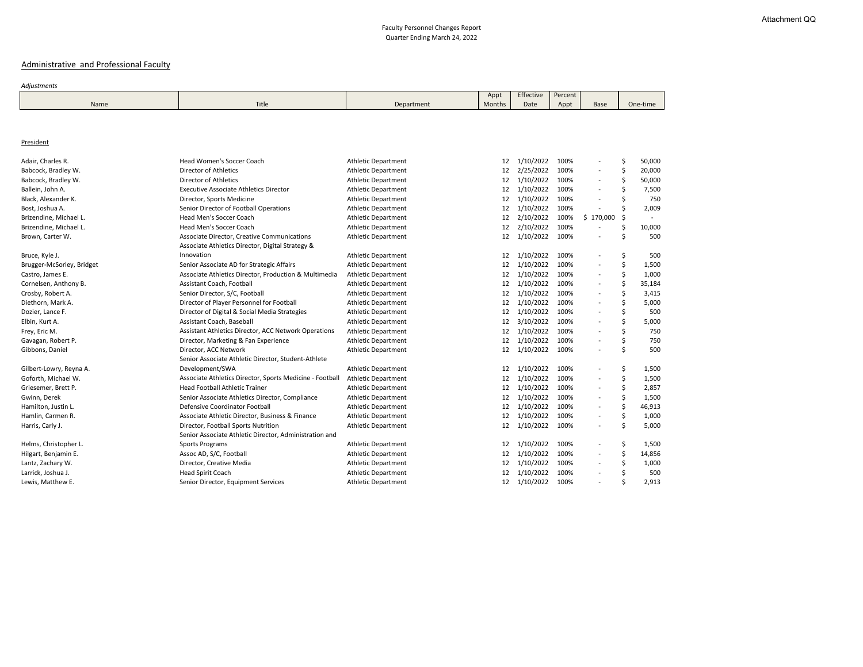# Administrative and Professional Faculty

#### *Adjustments*

|      |       |            | Appt   | Effective | Percent |  |
|------|-------|------------|--------|-----------|---------|--|
| Name | Title | Department | Months | Date      | Appt    |  |
|      |       |            |        |           |         |  |

#### **President**

| ercent |               |          |        |  |  |  |
|--------|---------------|----------|--------|--|--|--|
| Appt   | <b>Base</b>   | One-time |        |  |  |  |
|        |               |          |        |  |  |  |
|        |               |          |        |  |  |  |
|        |               |          |        |  |  |  |
|        |               |          |        |  |  |  |
|        |               |          |        |  |  |  |
| 100%   |               | \$       | 50,000 |  |  |  |
| 100%   |               | \$       | 20,000 |  |  |  |
| 100%   |               | \$       | 50,000 |  |  |  |
| 100%   |               | \$       | 7,500  |  |  |  |
| 100%   |               | \$       | 750    |  |  |  |
| 100%   |               | \$       | 2,009  |  |  |  |
| 100%   | 170,000<br>\$ | \$       |        |  |  |  |
| 100%   |               | \$       | 10,000 |  |  |  |
| 100%   |               | \$       | 500    |  |  |  |
|        |               |          |        |  |  |  |
| 100%   |               | \$       | 500    |  |  |  |
| 100%   |               | \$       | 1,500  |  |  |  |
| 100%   |               | \$       | 1,000  |  |  |  |
| 100%   |               | \$       | 35,184 |  |  |  |
| 100%   |               | \$       | 3,415  |  |  |  |
| 100%   |               | \$       | 5,000  |  |  |  |
| 100%   |               | \$       | 500    |  |  |  |
| 100%   | -             | \$       | 5,000  |  |  |  |
| 100%   |               | \$       | 750    |  |  |  |
| 100%   |               | \$       | 750    |  |  |  |
| 100%   |               | \$       | 500    |  |  |  |
|        |               |          |        |  |  |  |
| 100%   |               | \$       | 1,500  |  |  |  |
| 100%   |               | \$       | 1,500  |  |  |  |
| 100%   |               | \$       | 2,857  |  |  |  |
| 100%   |               | \$\$\$   | 1,500  |  |  |  |
| 100%   |               |          | 46,913 |  |  |  |
| 100%   |               |          | 1,000  |  |  |  |
| 100%   |               | \$       | 5,000  |  |  |  |
|        |               |          |        |  |  |  |
| 100%   |               | \$       | 1,500  |  |  |  |
| 100%   |               |          | 14,856 |  |  |  |
| 100%   |               |          | 1,000  |  |  |  |
| 100%   |               | \$\$\$\$ | 500    |  |  |  |
| 100%   |               |          | 2,913  |  |  |  |

 $\mathcal{L}_{\mathcal{A}}$ 

| Adair, Charles R.         | Head Women's Soccer Coach                                                                              | <b>Athletic Department</b> | 12 | 1/10/2022 | 100% |                          | \$<br>50,000 |
|---------------------------|--------------------------------------------------------------------------------------------------------|----------------------------|----|-----------|------|--------------------------|--------------|
| Babcock, Bradley W.       | <b>Director of Athletics</b>                                                                           | <b>Athletic Department</b> | 12 | 2/25/2022 | 100% | $\qquad \qquad -$        | \$<br>20,000 |
| Babcock, Bradley W.       | <b>Director of Athletics</b>                                                                           | <b>Athletic Department</b> | 12 | 1/10/2022 | 100% | $\overline{\phantom{a}}$ | \$<br>50,000 |
| Ballein, John A.          | <b>Executive Associate Athletics Director</b>                                                          | <b>Athletic Department</b> | 12 | 1/10/2022 | 100% |                          | 7,500        |
| Black, Alexander K.       | Director, Sports Medicine                                                                              | <b>Athletic Department</b> | 12 | 1/10/2022 | 100% |                          | 750          |
| Bost, Joshua A.           | Senior Director of Football Operations                                                                 | <b>Athletic Department</b> | 12 | 1/10/2022 | 100% |                          | 2,009        |
| Brizendine, Michael L.    | Head Men's Soccer Coach                                                                                | <b>Athletic Department</b> | 12 | 2/10/2022 | 100% | \$170,000                | \$           |
| Brizendine, Michael L.    | Head Men's Soccer Coach                                                                                | <b>Athletic Department</b> | 12 | 2/10/2022 | 100% |                          | \$<br>10,000 |
| Brown, Carter W.          | <b>Associate Director, Creative Communications</b><br>Associate Athletics Director, Digital Strategy & | <b>Athletic Department</b> | 12 | 1/10/2022 | 100% |                          | \$<br>500    |
| Bruce, Kyle J.            | Innovation                                                                                             | <b>Athletic Department</b> | 12 | 1/10/2022 | 100% |                          | \$<br>500    |
| Brugger-McSorley, Bridget | Senior Associate AD for Strategic Affairs                                                              | <b>Athletic Department</b> | 12 | 1/10/2022 | 100% |                          | \$<br>1,500  |
| Castro, James E.          | Associate Athletics Director, Production & Multimedia                                                  | <b>Athletic Department</b> | 12 | 1/10/2022 | 100% | $\overline{\phantom{a}}$ | \$<br>1,000  |
| Cornelsen, Anthony B.     | Assistant Coach, Football                                                                              | <b>Athletic Department</b> | 12 | 1/10/2022 | 100% | $\overline{\phantom{a}}$ | \$<br>35,184 |
| Crosby, Robert A.         | Senior Director, S/C, Football                                                                         | <b>Athletic Department</b> | 12 | 1/10/2022 | 100% |                          | \$<br>3,415  |
| Diethorn, Mark A.         | Director of Player Personnel for Football                                                              | <b>Athletic Department</b> | 12 | 1/10/2022 | 100% |                          | \$<br>5,000  |
| Dozier, Lance F.          | Director of Digital & Social Media Strategies                                                          | <b>Athletic Department</b> | 12 | 1/10/2022 | 100% |                          | \$<br>500    |
| Elbin, Kurt A.            | Assistant Coach, Baseball                                                                              | <b>Athletic Department</b> | 12 | 3/10/2022 | 100% | $\blacksquare$           | 5,000        |
| Frey, Eric M.             | Assistant Athletics Director, ACC Network Operations                                                   | <b>Athletic Department</b> | 12 | 1/10/2022 | 100% | $\overline{\phantom{a}}$ | 750          |
| Gavagan, Robert P.        | Director, Marketing & Fan Experience                                                                   | <b>Athletic Department</b> | 12 | 1/10/2022 | 100% | $\overline{\phantom{a}}$ | \$<br>750    |
| Gibbons, Daniel           | Director, ACC Network                                                                                  | <b>Athletic Department</b> | 12 | 1/10/2022 | 100% | $\overline{\phantom{a}}$ | \$<br>500    |
|                           | Senior Associate Athletic Director, Student-Athlete                                                    |                            |    |           |      |                          |              |
| Gilbert-Lowry, Reyna A.   | Development/SWA                                                                                        | <b>Athletic Department</b> | 12 | 1/10/2022 | 100% |                          | \$<br>1,500  |
| Goforth, Michael W.       | Associate Athletics Director, Sports Medicine - Football                                               | <b>Athletic Department</b> | 12 | 1/10/2022 | 100% |                          | \$<br>1,500  |
| Griesemer, Brett P.       | <b>Head Football Athletic Trainer</b>                                                                  | <b>Athletic Department</b> | 12 | 1/10/2022 | 100% |                          | \$<br>2,857  |
| Gwinn, Derek              | Senior Associate Athletics Director, Compliance                                                        | <b>Athletic Department</b> | 12 | 1/10/2022 | 100% |                          | \$<br>1,500  |
| Hamilton, Justin L.       | Defensive Coordinator Football                                                                         | <b>Athletic Department</b> | 12 | 1/10/2022 | 100% | $\overline{a}$           | \$<br>46,913 |
| Hamlin, Carmen R.         | Associate Athletic Director, Business & Finance                                                        | <b>Athletic Department</b> | 12 | 1/10/2022 | 100% |                          | \$<br>1,000  |
| Harris, Carly J.          | Director, Football Sports Nutrition                                                                    | <b>Athletic Department</b> | 12 | 1/10/2022 | 100% | $\qquad \qquad -$        | \$<br>5,000  |
|                           | Senior Associate Athletic Director, Administration and                                                 |                            |    |           |      |                          |              |
| Helms, Christopher L.     | <b>Sports Programs</b>                                                                                 | <b>Athletic Department</b> | 12 | 1/10/2022 | 100% |                          | \$<br>1,500  |
| Hilgart, Benjamin E.      | Assoc AD, S/C, Football                                                                                | <b>Athletic Department</b> | 12 | 1/10/2022 | 100% | $\overline{\phantom{a}}$ | \$<br>14,856 |
| Lantz, Zachary W.         | Director, Creative Media                                                                               | <b>Athletic Department</b> | 12 | 1/10/2022 | 100% | $\overline{\phantom{a}}$ | \$<br>1,000  |
| Larrick, Joshua J.        | <b>Head Spirit Coach</b>                                                                               | <b>Athletic Department</b> | 12 | 1/10/2022 | 100% | $\overline{\phantom{a}}$ | \$<br>500    |
| Lewis, Matthew E.         | Senior Director, Equipment Services                                                                    | <b>Athletic Department</b> | 12 | 1/10/2022 | 100% |                          | \$<br>2,913  |
|                           |                                                                                                        |                            |    |           |      |                          |              |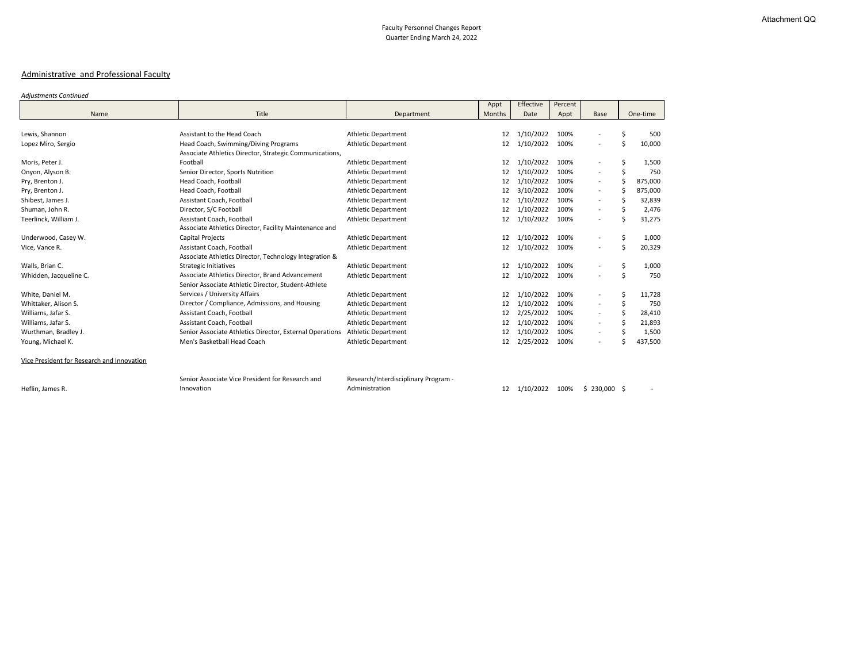# Administrative and Professional Faculty

#### *Adjustments Continued*

| ercent |             |               |
|--------|-------------|---------------|
| Appt   | <b>Base</b> | One-time      |
|        |             |               |
| 100%   |             | \$<br>500     |
| 100%   |             | \$<br>10,000  |
|        |             |               |
| 100%   |             | \$<br>1,500   |
| 100%   |             | \$<br>750     |
| 100%   |             | \$<br>875,000 |
| 100%   |             | \$<br>875,000 |
| 100%   |             | \$<br>32,839  |
| 100%   |             | \$<br>2,476   |
| 100%   |             | \$<br>31,275  |
|        |             |               |
| 100%   |             | \$<br>1,000   |
| 100%   |             | \$<br>20,329  |
|        |             |               |
| 100%   |             | \$<br>1,000   |
| 100%   |             | \$<br>750     |
|        |             |               |
| 100%   |             | \$<br>11,728  |
| 100%   |             | \$<br>750     |
| 100%   |             | \$<br>28,410  |
| 100%   |             | \$<br>21,893  |
| 100%   |             | \$<br>1,500   |
| 100%   |             | \$<br>437,500 |

|                                            |                                                          |                                      | Appt          | Effective | Percent |                          |    |          |
|--------------------------------------------|----------------------------------------------------------|--------------------------------------|---------------|-----------|---------|--------------------------|----|----------|
| Name                                       | Title                                                    | Department                           | <b>Months</b> | Date      | Appt    | <b>Base</b>              |    | One-time |
|                                            |                                                          |                                      |               |           |         |                          |    |          |
| Lewis, Shannon                             | Assistant to the Head Coach                              | <b>Athletic Department</b>           | 12            | 1/10/2022 | 100%    |                          | \$ | 500      |
| Lopez Miro, Sergio                         | Head Coach, Swimming/Diving Programs                     | <b>Athletic Department</b>           | 12            | 1/10/2022 | 100%    | $\overline{\phantom{a}}$ | \$ | 10,000   |
|                                            | Associate Athletics Director, Strategic Communications,  |                                      |               |           |         |                          |    |          |
| Moris, Peter J.                            | Football                                                 | <b>Athletic Department</b>           | 12            | 1/10/2022 | 100%    | $\overline{\phantom{a}}$ | \$ | 1,500    |
| Onyon, Alyson B.                           | Senior Director, Sports Nutrition                        | <b>Athletic Department</b>           | 12            | 1/10/2022 | 100%    | $\overline{\phantom{a}}$ | Ś  | 750      |
| Pry, Brenton J.                            | Head Coach, Football                                     | <b>Athletic Department</b>           | 12            | 1/10/2022 | 100%    | $\overline{\phantom{a}}$ |    | 875,000  |
| Pry, Brenton J.                            | Head Coach, Football                                     | <b>Athletic Department</b>           | 12            | 3/10/2022 | 100%    | $\overline{\phantom{a}}$ | S  | 875,000  |
| Shibest, James J.                          | Assistant Coach, Football                                | <b>Athletic Department</b>           | 12            | 1/10/2022 | 100%    | $\overline{\phantom{a}}$ |    | 32,839   |
| Shuman, John R.                            | Director, S/C Football                                   | <b>Athletic Department</b>           | 12            | 1/10/2022 | 100%    | $\overline{\phantom{a}}$ |    | 2,476    |
| Teerlinck, William J.                      | Assistant Coach, Football                                | <b>Athletic Department</b>           | 12            | 1/10/2022 | 100%    | $\overline{\phantom{a}}$ | \$ | 31,275   |
|                                            | Associate Athletics Director, Facility Maintenance and   |                                      |               |           |         |                          |    |          |
| Underwood, Casey W.                        | Capital Projects                                         | <b>Athletic Department</b>           | 12            | 1/10/2022 | 100%    |                          | \$ | 1,000    |
| Vice, Vance R.                             | Assistant Coach, Football                                | <b>Athletic Department</b>           | 12            | 1/10/2022 | 100%    | $\overline{\phantom{a}}$ | \$ | 20,329   |
|                                            | Associate Athletics Director, Technology Integration &   |                                      |               |           |         |                          |    |          |
| Walls, Brian C.                            | <b>Strategic Initiatives</b>                             | <b>Athletic Department</b>           | 12            | 1/10/2022 | 100%    |                          | \$ | 1,000    |
| Whidden, Jacqueline C.                     | Associate Athletics Director, Brand Advancement          | <b>Athletic Department</b>           | 12            | 1/10/2022 | 100%    | $\overline{\phantom{a}}$ | \$ | 750      |
|                                            | Senior Associate Athletic Director, Student-Athlete      |                                      |               |           |         |                          |    |          |
| White, Daniel M.                           | Services / University Affairs                            | <b>Athletic Department</b>           | 12            | 1/10/2022 | 100%    | $\overline{\phantom{a}}$ | \$ | 11,728   |
| Whittaker, Alison S.                       | Director / Compliance, Admissions, and Housing           | <b>Athletic Department</b>           | 12            | 1/10/2022 | 100%    | $\overline{\phantom{a}}$ | \$ | 750      |
| Williams, Jafar S.                         | Assistant Coach, Football                                | <b>Athletic Department</b>           | 12            | 2/25/2022 | 100%    | $\overline{\phantom{a}}$ | \$ | 28,410   |
| Williams, Jafar S.                         | Assistant Coach, Football                                | <b>Athletic Department</b>           | 12            | 1/10/2022 | 100%    |                          |    | 21,893   |
| Wurthman, Bradley J.                       | Senior Associate Athletics Director, External Operations | <b>Athletic Department</b>           | 12            | 1/10/2022 | 100%    |                          |    | 1,500    |
| Young, Michael K.                          | Men's Basketball Head Coach                              | <b>Athletic Department</b>           | 12            | 2/25/2022 | 100%    | $\overline{\phantom{a}}$ | \$ | 437,500  |
| Vice President for Research and Innovation |                                                          |                                      |               |           |         |                          |    |          |
|                                            | Senior Associate Vice President for Research and         | Research/Interdisciplinary Program - |               |           |         |                          |    |          |
| Heflin, James R.                           | Innovation                                               | Administration                       | 12            | 1/10/2022 | 100%    | $$230,000$ \$            |    |          |